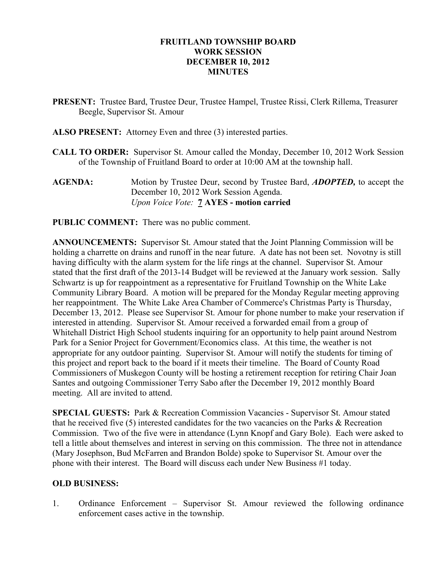# FRUITLAND TOWNSHIP BOARD WORK SESSION DECEMBER 10, 2012 **MINUTES**

- PRESENT: Trustee Bard, Trustee Deur, Trustee Hampel, Trustee Rissi, Clerk Rillema, Treasurer Beegle, Supervisor St. Amour
- ALSO PRESENT: Attorney Even and three (3) interested parties.
- CALL TO ORDER: Supervisor St. Amour called the Monday, December 10, 2012 Work Session of the Township of Fruitland Board to order at 10:00 AM at the township hall.
- AGENDA: Motion by Trustee Deur, second by Trustee Bard, *ADOPTED*, to accept the December 10, 2012 Work Session Agenda. Upon Voice Vote: 7 AYES - motion carried
- PUBLIC COMMENT: There was no public comment.

ANNOUNCEMENTS: Supervisor St. Amour stated that the Joint Planning Commission will be holding a charrette on drains and runoff in the near future. A date has not been set. Novotny is still having difficulty with the alarm system for the life rings at the channel. Supervisor St. Amour stated that the first draft of the 2013-14 Budget will be reviewed at the January work session. Sally Schwartz is up for reappointment as a representative for Fruitland Township on the White Lake Community Library Board. A motion will be prepared for the Monday Regular meeting approving her reappointment. The White Lake Area Chamber of Commerce's Christmas Party is Thursday, December 13, 2012. Please see Supervisor St. Amour for phone number to make your reservation if interested in attending. Supervisor St. Amour received a forwarded email from a group of Whitehall District High School students inquiring for an opportunity to help paint around Nestrom Park for a Senior Project for Government/Economics class. At this time, the weather is not appropriate for any outdoor painting. Supervisor St. Amour will notify the students for timing of this project and report back to the board if it meets their timeline. The Board of County Road Commissioners of Muskegon County will be hosting a retirement reception for retiring Chair Joan Santes and outgoing Commissioner Terry Sabo after the December 19, 2012 monthly Board meeting. All are invited to attend.

SPECIAL GUESTS: Park & Recreation Commission Vacancies - Supervisor St. Amour stated that he received five (5) interested candidates for the two vacancies on the Parks & Recreation Commission. Two of the five were in attendance (Lynn Knopf and Gary Bole). Each were asked to tell a little about themselves and interest in serving on this commission. The three not in attendance (Mary Josephson, Bud McFarren and Brandon Bolde) spoke to Supervisor St. Amour over the phone with their interest. The Board will discuss each under New Business #1 today.

#### OLD BUSINESS:

1. Ordinance Enforcement – Supervisor St. Amour reviewed the following ordinance enforcement cases active in the township.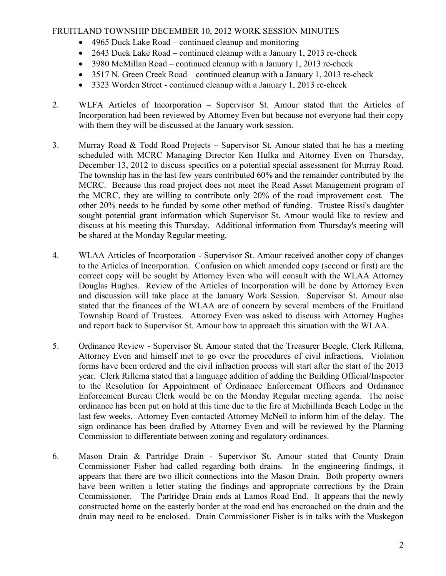# FRUITLAND TOWNSHIP DECEMBER 10, 2012 WORK SESSION MINUTES

- 4965 Duck Lake Road continued cleanup and monitoring
- 2643 Duck Lake Road continued cleanup with a January 1, 2013 re-check
- 3980 McMillan Road continued cleanup with a January 1, 2013 re-check
- 3517 N. Green Creek Road continued cleanup with a January 1, 2013 re-check
- 3323 Worden Street continued cleanup with a January 1, 2013 re-check
- 2. WLFA Articles of Incorporation Supervisor St. Amour stated that the Articles of Incorporation had been reviewed by Attorney Even but because not everyone had their copy with them they will be discussed at the January work session.
- 3. Murray Road  $& Todd Road Projects Supervisor St. Amount stated that he has a meeting$ scheduled with MCRC Managing Director Ken Hulka and Attorney Even on Thursday, December 13, 2012 to discuss specifics on a potential special assessment for Murray Road. The township has in the last few years contributed 60% and the remainder contributed by the MCRC. Because this road project does not meet the Road Asset Management program of the MCRC, they are willing to contribute only 20% of the road improvement cost. The other 20% needs to be funded by some other method of funding. Trustee Rissi's daughter sought potential grant information which Supervisor St. Amour would like to review and discuss at his meeting this Thursday. Additional information from Thursday's meeting will be shared at the Monday Regular meeting.
- 4. WLAA Articles of Incorporation Supervisor St. Amour received another copy of changes to the Articles of Incorporation. Confusion on which amended copy (second or first) are the correct copy will be sought by Attorney Even who will consult with the WLAA Attorney Douglas Hughes. Review of the Articles of Incorporation will be done by Attorney Even and discussion will take place at the January Work Session. Supervisor St. Amour also stated that the finances of the WLAA are of concern by several members of the Fruitland Township Board of Trustees. Attorney Even was asked to discuss with Attorney Hughes and report back to Supervisor St. Amour how to approach this situation with the WLAA.
- 5. Ordinance Review Supervisor St. Amour stated that the Treasurer Beegle, Clerk Rillema, Attorney Even and himself met to go over the procedures of civil infractions. Violation forms have been ordered and the civil infraction process will start after the start of the 2013 year. Clerk Rillema stated that a language addition of adding the Building Official/Inspector to the Resolution for Appointment of Ordinance Enforcement Officers and Ordinance Enforcement Bureau Clerk would be on the Monday Regular meeting agenda. The noise ordinance has been put on hold at this time due to the fire at Michillinda Beach Lodge in the last few weeks. Attorney Even contacted Attorney McNeil to inform him of the delay. The sign ordinance has been drafted by Attorney Even and will be reviewed by the Planning Commission to differentiate between zoning and regulatory ordinances.
- 6. Mason Drain & Partridge Drain Supervisor St. Amour stated that County Drain Commissioner Fisher had called regarding both drains. In the engineering findings, it appears that there are two illicit connections into the Mason Drain. Both property owners have been written a letter stating the findings and appropriate corrections by the Drain Commissioner. The Partridge Drain ends at Lamos Road End. It appears that the newly constructed home on the easterly border at the road end has encroached on the drain and the drain may need to be enclosed. Drain Commissioner Fisher is in talks with the Muskegon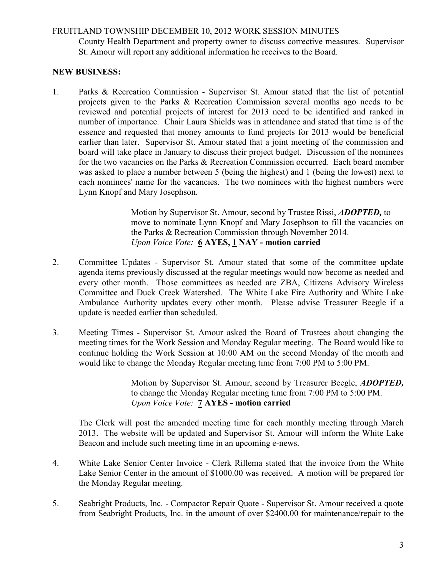## FRUITLAND TOWNSHIP DECEMBER 10, 2012 WORK SESSION MINUTES

County Health Department and property owner to discuss corrective measures. Supervisor St. Amour will report any additional information he receives to the Board.

# NEW BUSINESS:

1. Parks & Recreation Commission - Supervisor St. Amour stated that the list of potential projects given to the Parks & Recreation Commission several months ago needs to be reviewed and potential projects of interest for 2013 need to be identified and ranked in number of importance. Chair Laura Shields was in attendance and stated that time is of the essence and requested that money amounts to fund projects for 2013 would be beneficial earlier than later. Supervisor St. Amour stated that a joint meeting of the commission and board will take place in January to discuss their project budget. Discussion of the nominees for the two vacancies on the Parks & Recreation Commission occurred. Each board member was asked to place a number between 5 (being the highest) and 1 (being the lowest) next to each nominees' name for the vacancies. The two nominees with the highest numbers were Lynn Knopf and Mary Josephson.

> Motion by Supervisor St. Amour, second by Trustee Rissi, ADOPTED, to move to nominate Lynn Knopf and Mary Josephson to fill the vacancies on the Parks & Recreation Commission through November 2014. Upon Voice Vote: 6 AYES, 1 NAY - motion carried

- 2. Committee Updates Supervisor St. Amour stated that some of the committee update agenda items previously discussed at the regular meetings would now become as needed and every other month. Those committees as needed are ZBA, Citizens Advisory Wireless Committee and Duck Creek Watershed. The White Lake Fire Authority and White Lake Ambulance Authority updates every other month. Please advise Treasurer Beegle if a update is needed earlier than scheduled.
- 3. Meeting Times Supervisor St. Amour asked the Board of Trustees about changing the meeting times for the Work Session and Monday Regular meeting. The Board would like to continue holding the Work Session at 10:00 AM on the second Monday of the month and would like to change the Monday Regular meeting time from 7:00 PM to 5:00 PM.

 Motion by Supervisor St. Amour, second by Treasurer Beegle, ADOPTED, to change the Monday Regular meeting time from 7:00 PM to 5:00 PM. Upon Voice Vote: **7 AYES** - motion carried

The Clerk will post the amended meeting time for each monthly meeting through March 2013. The website will be updated and Supervisor St. Amour will inform the White Lake Beacon and include such meeting time in an upcoming e-news.

- 4. White Lake Senior Center Invoice Clerk Rillema stated that the invoice from the White Lake Senior Center in the amount of \$1000.00 was received. A motion will be prepared for the Monday Regular meeting.
- 5. Seabright Products, Inc. Compactor Repair Quote Supervisor St. Amour received a quote from Seabright Products, Inc. in the amount of over \$2400.00 for maintenance/repair to the